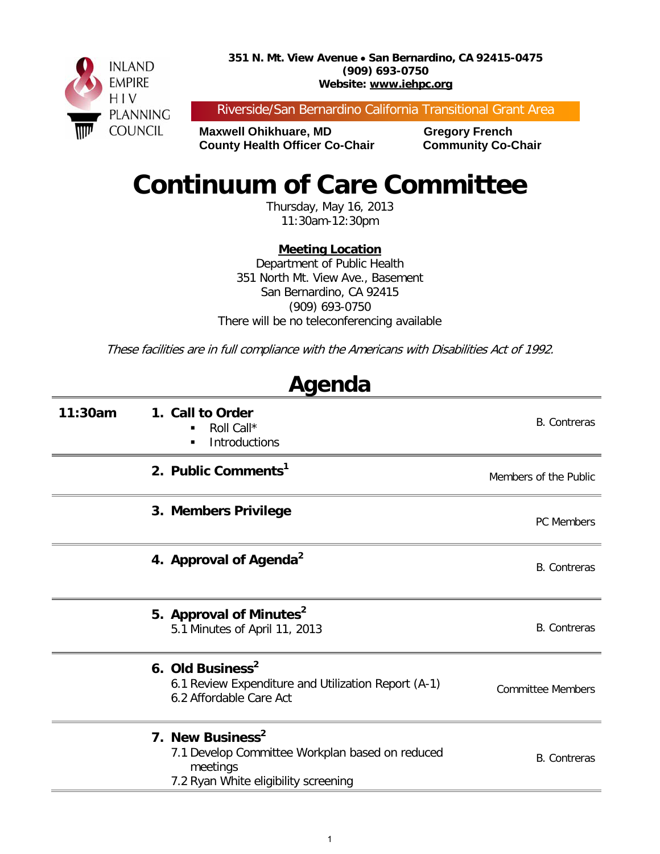**351 N. Mt. View Avenue** • **San Bernardino, CA 92415-0475 (909) 693-0750 Website: www.iehpc.org**



Riverside/San Bernardino California Transitional Grant Area

**Maxwell Ohikhuare, MD Gregory French County Health Officer Co-Chair Community Co-Chair** 

# **Continuum of Care Committee**

Thursday, May 16, 2013 11:30am-12:30pm

## **Meeting Location**

Department of Public Health 351 North Mt. View Ave., Basement San Bernardino, CA 92415 (909) 693-0750 There will be no teleconferencing available

These facilities are in full compliance with the Americans with Disabilities Act of 1992.

**Agenda**

| Aycılua |                                                                                                                                     |                          |  |  |  |
|---------|-------------------------------------------------------------------------------------------------------------------------------------|--------------------------|--|--|--|
| 11:30am | 1. Call to Order<br>Roll Call*<br>$\blacksquare$<br><b>Introductions</b><br>п                                                       | <b>B.</b> Contreras      |  |  |  |
|         | 2. Public Comments <sup>1</sup>                                                                                                     | Members of the Public    |  |  |  |
|         | 3. Members Privilege                                                                                                                | <b>PC Members</b>        |  |  |  |
|         | 4. Approval of Agenda <sup>2</sup>                                                                                                  | <b>B.</b> Contreras      |  |  |  |
|         | 5. Approval of Minutes <sup>2</sup><br>5.1 Minutes of April 11, 2013                                                                | <b>B.</b> Contreras      |  |  |  |
|         | 6. Old Business <sup>2</sup><br>6.1 Review Expenditure and Utilization Report (A-1)<br>6.2 Affordable Care Act                      | <b>Committee Members</b> |  |  |  |
|         | 7. New Business <sup>2</sup><br>7.1 Develop Committee Workplan based on reduced<br>meetings<br>7.2 Ryan White eligibility screening | <b>B.</b> Contreras      |  |  |  |

1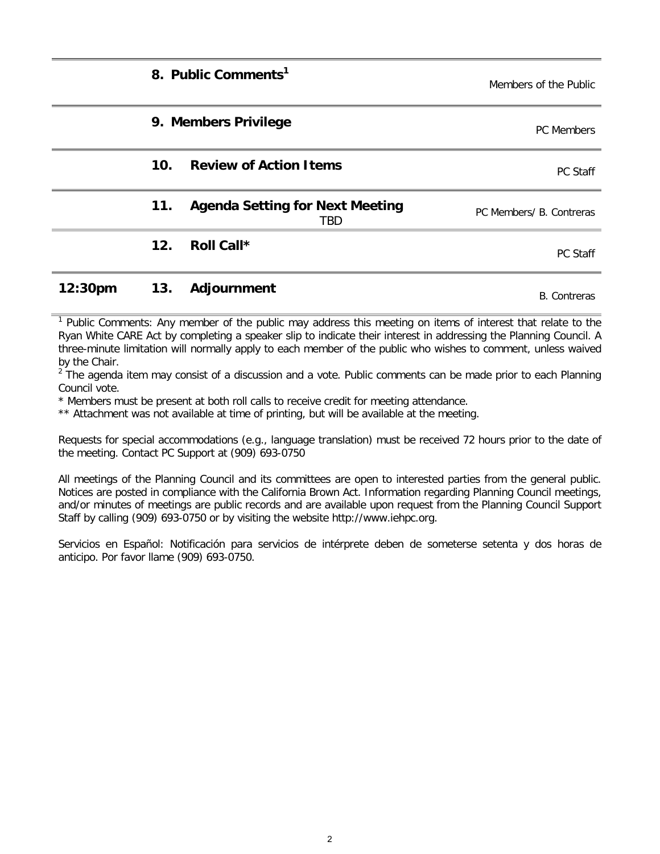|         |     | 8. Public Comments <sup>1</sup>               | Members of the Public    |
|---------|-----|-----------------------------------------------|--------------------------|
|         |     | 9. Members Privilege                          | PC Members               |
|         | 10. | <b>Review of Action Items</b>                 | PC Staff                 |
|         | 11. | <b>Agenda Setting for Next Meeting</b><br>TBD | PC Members/ B. Contreras |
|         | 12. | Roll Call*                                    | PC Staff                 |
| 12:30pm | 13. | Adjournment                                   | <b>B.</b> Contreras      |

<sup>1</sup> Public Comments: Any member of the public may address this meeting on items of interest that relate to the Ryan White CARE Act by completing a speaker slip to indicate their interest in addressing the Planning Council. A three-minute limitation will normally apply to each member of the public who wishes to comment, unless waived by the Chair.

 $2^{2}$  The agenda item may consist of a discussion and a vote. Public comments can be made prior to each Planning Council vote.

\* Members must be present at both roll calls to receive credit for meeting attendance.

\*\* Attachment was not available at time of printing, but will be available at the meeting.

Requests for special accommodations (e.g., language translation) must be received 72 hours prior to the date of the meeting. Contact PC Support at (909) 693-0750

All meetings of the Planning Council and its committees are open to interested parties from the general public. Notices are posted in compliance with the California Brown Act. Information regarding Planning Council meetings, and/or minutes of meetings are public records and are available upon request from the Planning Council Support Staff by calling (909) 693-0750 or by visiting the website http://www.iehpc.org.

Servicios en Español: Notificación para servicios de intérprete deben de someterse setenta y dos horas de anticipo. Por favor llame (909) 693-0750.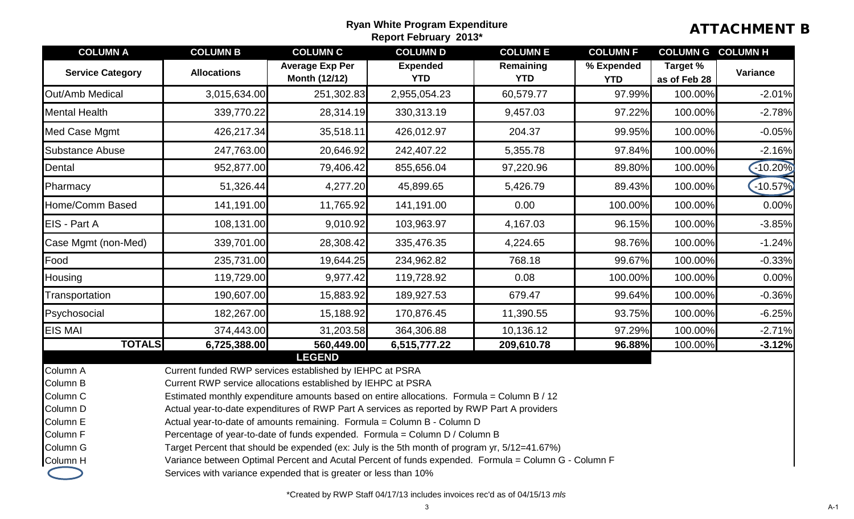# Ryan White Program Expenditure<br>Report February 2013\* **ATTACHMENT B**

| <b>COLUMN A</b>                                                                              | <b>COLUMN B</b>                                                                                                                                                                                                                                                                                                                                                                                                                                                                                                                                                                                                                                                                                                                                                               | <b>COLUMN C</b>                                | <b>COLUMN D</b>               | <b>COLUMN E</b>         | <b>COLUMN F</b>          | <b>COLUMN G</b>          | <b>COLUMN H</b> |
|----------------------------------------------------------------------------------------------|-------------------------------------------------------------------------------------------------------------------------------------------------------------------------------------------------------------------------------------------------------------------------------------------------------------------------------------------------------------------------------------------------------------------------------------------------------------------------------------------------------------------------------------------------------------------------------------------------------------------------------------------------------------------------------------------------------------------------------------------------------------------------------|------------------------------------------------|-------------------------------|-------------------------|--------------------------|--------------------------|-----------------|
| <b>Service Category</b>                                                                      | <b>Allocations</b>                                                                                                                                                                                                                                                                                                                                                                                                                                                                                                                                                                                                                                                                                                                                                            | <b>Average Exp Per</b><br><b>Month (12/12)</b> | <b>Expended</b><br><b>YTD</b> | Remaining<br><b>YTD</b> | % Expended<br><b>YTD</b> | Target %<br>as of Feb 28 | Variance        |
| Out/Amb Medical                                                                              | 3,015,634.00                                                                                                                                                                                                                                                                                                                                                                                                                                                                                                                                                                                                                                                                                                                                                                  | 251,302.83                                     | 2,955,054.23                  | 60,579.77               | 97.99%                   | 100.00%                  | $-2.01%$        |
| <b>Mental Health</b>                                                                         | 339,770.22                                                                                                                                                                                                                                                                                                                                                                                                                                                                                                                                                                                                                                                                                                                                                                    | 28,314.19                                      | 330,313.19                    | 9,457.03                | 97.22%                   | 100.00%                  | $-2.78%$        |
| Med Case Mgmt                                                                                | 426,217.34                                                                                                                                                                                                                                                                                                                                                                                                                                                                                                                                                                                                                                                                                                                                                                    | 35,518.11                                      | 426,012.97                    | 204.37                  | 99.95%                   | 100.00%                  | $-0.05%$        |
| <b>Substance Abuse</b>                                                                       | 247,763.00                                                                                                                                                                                                                                                                                                                                                                                                                                                                                                                                                                                                                                                                                                                                                                    | 20,646.92                                      | 242,407.22                    | 5,355.78                | 97.84%                   | 100.00%                  | $-2.16%$        |
| Dental                                                                                       | 952,877.00                                                                                                                                                                                                                                                                                                                                                                                                                                                                                                                                                                                                                                                                                                                                                                    | 79,406.42                                      | 855,656.04                    | 97,220.96               | 89.80%                   | 100.00%                  | $-10.20%$       |
| Pharmacy                                                                                     | 51,326.44                                                                                                                                                                                                                                                                                                                                                                                                                                                                                                                                                                                                                                                                                                                                                                     | 4,277.20                                       | 45,899.65                     | 5,426.79                | 89.43%                   | 100.00%                  | $-10.57%$       |
| Home/Comm Based                                                                              | 141,191.00                                                                                                                                                                                                                                                                                                                                                                                                                                                                                                                                                                                                                                                                                                                                                                    | 11,765.92                                      | 141,191.00                    | 0.00                    | 100.00%                  | 100.00%                  | 0.00%           |
| EIS - Part A                                                                                 | 108,131.00                                                                                                                                                                                                                                                                                                                                                                                                                                                                                                                                                                                                                                                                                                                                                                    | 9,010.92                                       | 103,963.97                    | 4,167.03                | 96.15%                   | 100.00%                  | $-3.85%$        |
| Case Mgmt (non-Med)                                                                          | 339,701.00                                                                                                                                                                                                                                                                                                                                                                                                                                                                                                                                                                                                                                                                                                                                                                    | 28,308.42                                      | 335,476.35                    | 4,224.65                | 98.76%                   | 100.00%                  | $-1.24%$        |
| Food                                                                                         | 235,731.00                                                                                                                                                                                                                                                                                                                                                                                                                                                                                                                                                                                                                                                                                                                                                                    | 19,644.25                                      | 234,962.82                    | 768.18                  | 99.67%                   | 100.00%                  | $-0.33%$        |
| <b>Housing</b>                                                                               | 119,729.00                                                                                                                                                                                                                                                                                                                                                                                                                                                                                                                                                                                                                                                                                                                                                                    | 9,977.42                                       | 119,728.92                    | 0.08                    | 100.00%                  | 100.00%                  | 0.00%           |
| Transportation                                                                               | 190,607.00                                                                                                                                                                                                                                                                                                                                                                                                                                                                                                                                                                                                                                                                                                                                                                    | 15,883.92                                      | 189,927.53                    | 679.47                  | 99.64%                   | 100.00%                  | $-0.36%$        |
| Psychosocial                                                                                 | 182,267.00                                                                                                                                                                                                                                                                                                                                                                                                                                                                                                                                                                                                                                                                                                                                                                    | 15,188.92                                      | 170,876.45                    | 11,390.55               | 93.75%                   | 100.00%                  | $-6.25%$        |
| <b>EIS MAI</b>                                                                               | 374,443.00                                                                                                                                                                                                                                                                                                                                                                                                                                                                                                                                                                                                                                                                                                                                                                    | 31,203.58                                      | 364,306.88                    | 10,136.12               | 97.29%                   | 100.00%                  | $-2.71%$        |
| <b>TOTALS</b>                                                                                | 6,725,388.00                                                                                                                                                                                                                                                                                                                                                                                                                                                                                                                                                                                                                                                                                                                                                                  | 560,449.00                                     | 6,515,777.22                  | 209,610.78              | 96.88%                   | 100.00%                  | $-3.12%$        |
| Column A<br>Column B<br>Column C<br>Column D<br>Column E<br>Column F<br>Column G<br>Column H | <b>LEGEND</b><br>Current funded RWP services established by IEHPC at PSRA<br>Current RWP service allocations established by IEHPC at PSRA<br>Estimated monthly expenditure amounts based on entire allocations. Formula = Column B / 12<br>Actual year-to-date expenditures of RWP Part A services as reported by RWP Part A providers<br>Actual year-to-date of amounts remaining. Formula = Column B - Column D<br>Percentage of year-to-date of funds expended. Formula = Column D / Column B<br>Target Percent that should be expended (ex: July is the 5th month of program yr, 5/12=41.67%)<br>Variance between Optimal Percent and Acutal Percent of funds expended. Formula = Column G - Column F<br>Services with variance expended that is greater or less than 10% |                                                |                               |                         |                          |                          |                 |

\*Created by RWP Staff 04/17/13 includes invoices rec'd as of 04/15/13 *mls*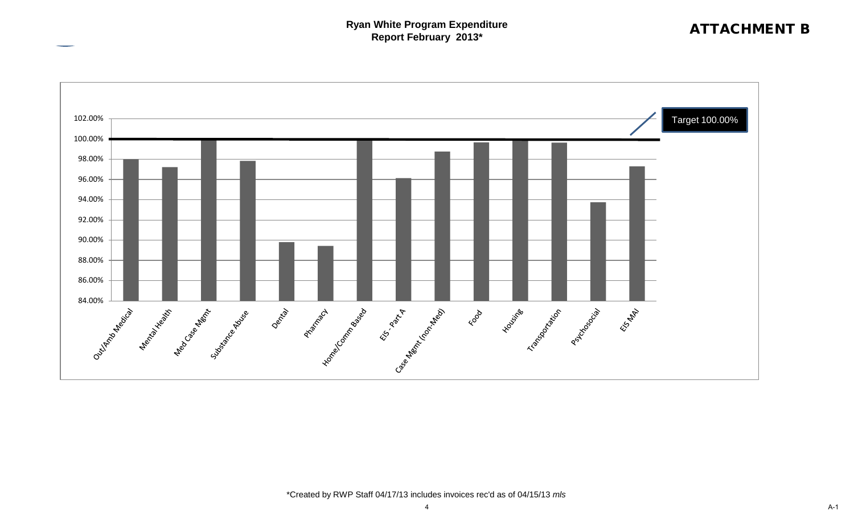### **Ryan White Program Expenditure Report February 2013\*** Report February 2013\*



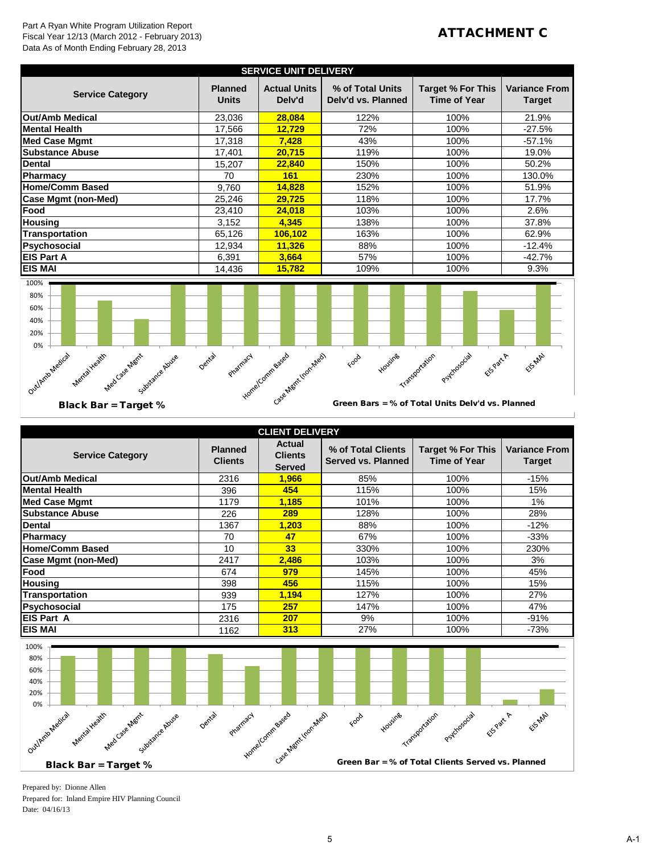### Part A Ryan White Program Utilization Report Fiscal Year 12/13 (March 2012 - February 2013) Data As of Month Ending February 28, 2013

### ATTACHMENT C

| <b>SERVICE UNIT DELIVERY</b> |                                |                               |                                        |                                                 |                                       |  |
|------------------------------|--------------------------------|-------------------------------|----------------------------------------|-------------------------------------------------|---------------------------------------|--|
| <b>Service Category</b>      | <b>Planned</b><br><b>Units</b> | <b>Actual Units</b><br>Delv'd | % of Total Units<br>Delv'd vs. Planned | <b>Target % For This</b><br><b>Time of Year</b> | <b>Variance From</b><br><b>Target</b> |  |
| Out/Amb Medical              | 23,036                         | 28,084                        | 122%                                   | 100%                                            | 21.9%                                 |  |
| <b>Mental Health</b>         | 17,566                         | 12.729                        | 72%                                    | 100%                                            | $-27.5%$                              |  |
| <b>Med Case Mgmt</b>         | 17,318                         | 7,428                         | 43%                                    | 100%                                            | $-57.1%$                              |  |
| <b>Substance Abuse</b>       | 17,401                         | 20,715                        | 119%                                   | 100%                                            | 19.0%                                 |  |
| Dental                       | 15,207                         | 22,840                        | 150%                                   | 100%                                            | 50.2%                                 |  |
| Pharmacy                     | 70                             | 161                           | 230%                                   | 100%                                            | 130.0%                                |  |
| <b>Home/Comm Based</b>       | 9,760                          | 14,828                        | 152%                                   | 100%                                            | 51.9%                                 |  |
| Case Mgmt (non-Med)          | 25.246                         | 29,725                        | 118%                                   | 100%                                            | 17.7%                                 |  |
| Food                         | 23,410                         | 24,018                        | 103%                                   | 100%                                            | 2.6%                                  |  |
| <b>Housing</b>               | 3,152                          | 4.345                         | 138%                                   | 100%                                            | 37.8%                                 |  |
| Transportation               | 65,126                         | 106,102                       | 163%                                   | 100%                                            | 62.9%                                 |  |
| Psychosocial                 | 12,934                         | 11,326                        | 88%                                    | 100%                                            | $-12.4%$                              |  |
| <b>EIS Part A</b>            | 6,391                          | 3,664                         | 57%                                    | 100%                                            | $-42.7%$                              |  |
| <b>EIS MAI</b>               | 14,436                         | 15,782                        | 109%                                   | 100%                                            | 9.3%                                  |  |



|  |  | <b>Black Bar = Target %</b> |  |
|--|--|-----------------------------|--|
|  |  |                             |  |

Green Bars = % of Total Units Delv'd vs. Planned

| <b>CLIENT DELIVERY</b>                                                                                           |                                  |                                                  |                                                   |                                                 |                                       |  |  |
|------------------------------------------------------------------------------------------------------------------|----------------------------------|--------------------------------------------------|---------------------------------------------------|-------------------------------------------------|---------------------------------------|--|--|
| <b>Service Category</b>                                                                                          | <b>Planned</b><br><b>Clients</b> | <b>Actual</b><br><b>Clients</b><br><b>Served</b> | % of Total Clients<br><b>Served vs. Planned</b>   | <b>Target % For This</b><br><b>Time of Year</b> | <b>Variance From</b><br><b>Target</b> |  |  |
| <b>Out/Amb Medical</b>                                                                                           | 2316                             | 1,966                                            | 85%                                               | 100%                                            | $-15%$                                |  |  |
| <b>Mental Health</b>                                                                                             | 396                              | 454                                              | 115%                                              | 100%                                            | 15%                                   |  |  |
| <b>Med Case Mgmt</b>                                                                                             | 1179                             | 1,185                                            | 101%                                              | 100%                                            | 1%                                    |  |  |
| <b>Substance Abuse</b>                                                                                           | 226                              | 289                                              | 128%                                              | 100%                                            | 28%                                   |  |  |
| <b>Dental</b>                                                                                                    | 1367                             | 1,203                                            | 88%                                               | 100%                                            | $-12%$                                |  |  |
| <b>Pharmacy</b>                                                                                                  | 70                               | 47                                               | 67%                                               | 100%                                            | $-33%$                                |  |  |
| <b>Home/Comm Based</b>                                                                                           | 10                               | 33                                               | 330%                                              | 100%                                            | 230%                                  |  |  |
| <b>Case Mgmt (non-Med)</b>                                                                                       | 2417                             | 2,486                                            | 103%                                              | 100%                                            | 3%                                    |  |  |
| Food                                                                                                             | 674                              | 979                                              | 145%                                              | 100%                                            | 45%                                   |  |  |
| <b>Housing</b>                                                                                                   | 398                              | 456                                              | 115%                                              | 100%                                            | 15%                                   |  |  |
| <b>Transportation</b>                                                                                            | 939                              | 1,194                                            | 127%                                              | 100%                                            | 27%                                   |  |  |
| Psychosocial                                                                                                     | 175                              | 257                                              | 147%                                              | 100%                                            | 47%                                   |  |  |
| <b>EIS Part A</b>                                                                                                | 2316                             | 207                                              | 9%                                                | 100%                                            | $-91%$                                |  |  |
| <b>EIS MAI</b>                                                                                                   | 1162                             | 313                                              | 27%                                               | 100%                                            | $-73%$                                |  |  |
| 100%<br>80%<br>60%<br>40%<br>20%<br>0%<br>OutlArito Medical<br>Mental Health<br>Med Case Memt<br>Substance Abuse | Dental<br>Pharmacy               | Homel Comm Based<br>Case Meart Iron Mean         | Housine<br>Food                                   | Psychosocial<br>EUSPART A<br>Transportation     | ElSARY                                |  |  |
| <b>Black Bar = Target %</b>                                                                                      |                                  |                                                  | Green Bar = % of Total Clients Served vs. Planned |                                                 |                                       |  |  |



Prepared by: Dionne Allen Prepared for: Inland Empire HIV Planning Council Date: 04/16/13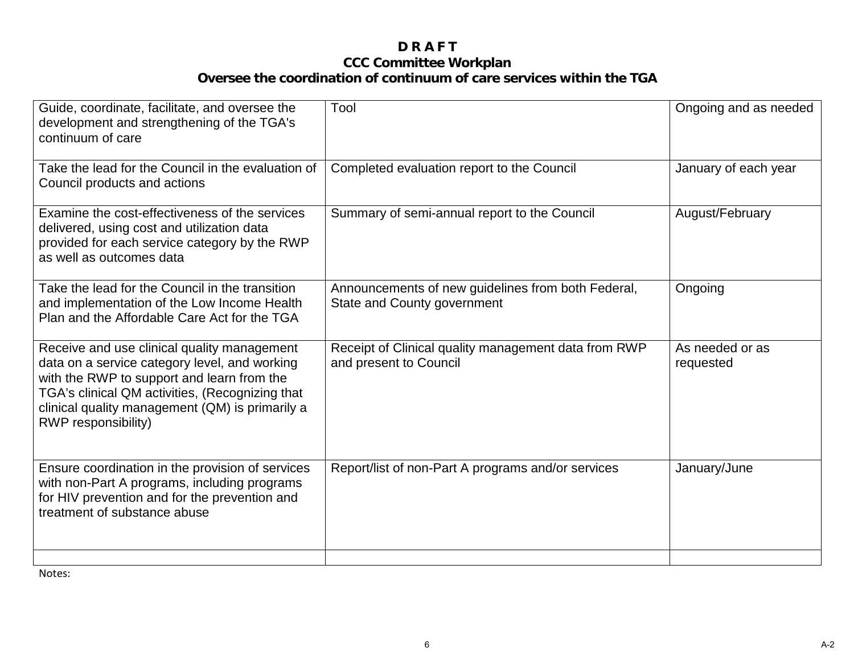### **D R A F T CCC Committee Workplan Oversee the coordination of continuum of care services within the TGA**

| Guide, coordinate, facilitate, and oversee the<br>development and strengthening of the TGA's<br>continuum of care                                                                                                                                                       | Tool                                                                              | Ongoing and as needed        |
|-------------------------------------------------------------------------------------------------------------------------------------------------------------------------------------------------------------------------------------------------------------------------|-----------------------------------------------------------------------------------|------------------------------|
| Take the lead for the Council in the evaluation of<br>Council products and actions                                                                                                                                                                                      | Completed evaluation report to the Council                                        | January of each year         |
| Examine the cost-effectiveness of the services<br>delivered, using cost and utilization data<br>provided for each service category by the RWP<br>as well as outcomes data                                                                                               | Summary of semi-annual report to the Council                                      | August/February              |
| Take the lead for the Council in the transition<br>and implementation of the Low Income Health<br>Plan and the Affordable Care Act for the TGA                                                                                                                          | Announcements of new guidelines from both Federal,<br>State and County government | Ongoing                      |
| Receive and use clinical quality management<br>data on a service category level, and working<br>with the RWP to support and learn from the<br>TGA's clinical QM activities, (Recognizing that<br>clinical quality management (QM) is primarily a<br>RWP responsibility) | Receipt of Clinical quality management data from RWP<br>and present to Council    | As needed or as<br>requested |
| Ensure coordination in the provision of services<br>with non-Part A programs, including programs<br>for HIV prevention and for the prevention and<br>treatment of substance abuse                                                                                       | Report/list of non-Part A programs and/or services                                | January/June                 |

Notes: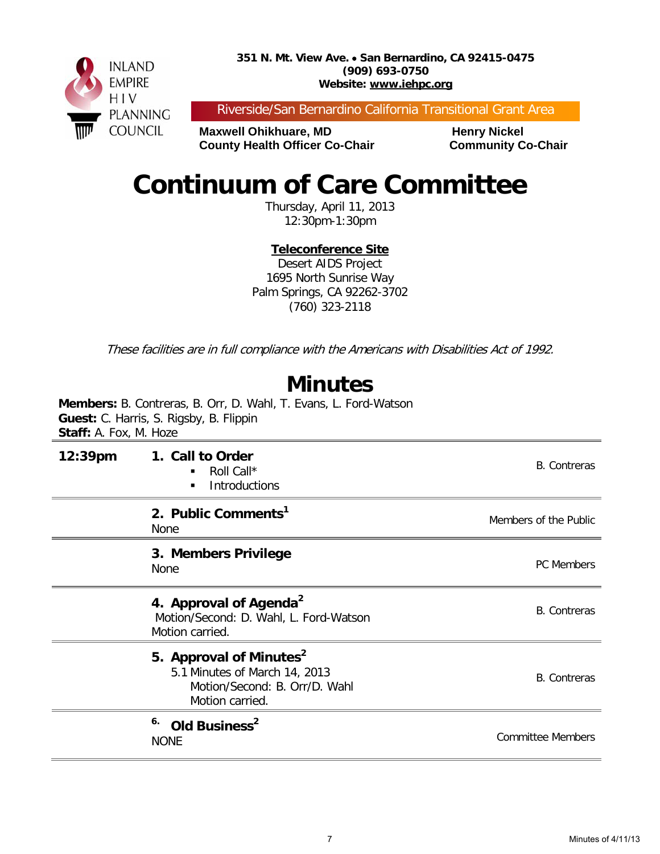**351 N. Mt. View Ave.** • **San Bernardino, CA 92415-0475 (909) 693-0750 Website: www.iehpc.org**



Riverside/San Bernardino California Transitional Grant Area

**Maxwell Ohikhuare, MD Henry Nickel County Health Officer Co-Chair Community Co-Chair** 

# **Continuum of Care Committee**

Thursday, April 11, 2013 12:30pm-1:30pm

**Teleconference Site**

Desert AIDS Project 1695 North Sunrise Way Palm Springs, CA 92262-3702 (760) 323-2118

These facilities are in full compliance with the Americans with Disabilities Act of 1992.

# **Minutes**

**Members:** B. Contreras, B. Orr, D. Wahl, T. Evans, L. Ford-Watson **Guest:** C. Harris, S. Rigsby, B. Flippin **Staff:** A. Fox, M. Hoze

| $12:39$ pm | 1. Call to Order<br>Roll Call*<br>٠<br><b>Introductions</b><br>$\blacksquare$                                            | <b>B.</b> Contreras      |
|------------|--------------------------------------------------------------------------------------------------------------------------|--------------------------|
|            | 2. Public Comments <sup>1</sup><br><b>None</b>                                                                           | Members of the Public    |
|            | 3. Members Privilege<br>None                                                                                             | PC Members               |
|            | 4. Approval of Agenda <sup>2</sup><br>Motion/Second: D. Wahl, L. Ford-Watson<br>Motion carried.                          | <b>B.</b> Contreras      |
|            | 5. Approval of Minutes <sup>2</sup><br>5.1 Minutes of March 14, 2013<br>Motion/Second: B. Orr/D. Wahl<br>Motion carried. | <b>B.</b> Contreras      |
|            | 6.<br>Old Business <sup>2</sup><br><b>NONE</b>                                                                           | <b>Committee Members</b> |